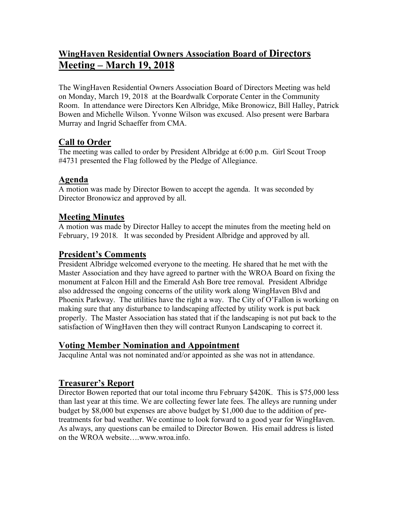# **WingHaven Residential Owners Association Board of Directors Meeting – March 19, 2018**

The WingHaven Residential Owners Association Board of Directors Meeting was held on Monday, March 19, 2018 at the Boardwalk Corporate Center in the Community Room. In attendance were Directors Ken Albridge, Mike Bronowicz, Bill Halley, Patrick Bowen and Michelle Wilson. Yvonne Wilson was excused. Also present were Barbara Murray and Ingrid Schaeffer from CMA.

## **Call to Order**

The meeting was called to order by President Albridge at 6:00 p.m. Girl Scout Troop #4731 presented the Flag followed by the Pledge of Allegiance.

## **Agenda**

A motion was made by Director Bowen to accept the agenda. It was seconded by Director Bronowicz and approved by all.

## **Meeting Minutes**

A motion was made by Director Halley to accept the minutes from the meeting held on February, 19 2018. It was seconded by President Albridge and approved by all.

# **President's Comments**

President Albridge welcomed everyone to the meeting. He shared that he met with the Master Association and they have agreed to partner with the WROA Board on fixing the monument at Falcon Hill and the Emerald Ash Bore tree removal. President Albridge also addressed the ongoing concerns of the utility work along WingHaven Blvd and Phoenix Parkway. The utilities have the right a way. The City of O'Fallon is working on making sure that any disturbance to landscaping affected by utility work is put back properly. The Master Association has stated that if the landscaping is not put back to the satisfaction of WingHaven then they will contract Runyon Landscaping to correct it.

## **Voting Member Nomination and Appointment**

Jacquline Antal was not nominated and/or appointed as she was not in attendance.

## **Treasurer's Report**

Director Bowen reported that our total income thru February \$420K. This is \$75,000 less than last year at this time. We are collecting fewer late fees. The alleys are running under budget by \$8,000 but expenses are above budget by \$1,000 due to the addition of pretreatments for bad weather. We continue to look forward to a good year for WingHaven. As always, any questions can be emailed to Director Bowen. His email address is listed on the WROA website….www.wroa.info.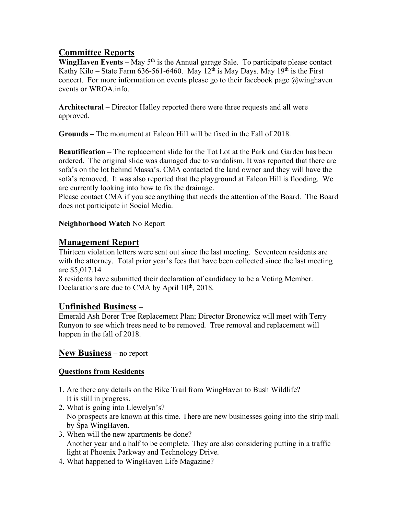## **Committee Reports**

**WingHaven Events** – May  $5<sup>th</sup>$  is the Annual garage Sale. To participate please contact Kathy Kilo – State Farm 636-561-6460. May 12<sup>th</sup> is May Days. May 19<sup>th</sup> is the First concert. For more information on events please go to their facebook page @winghaven events or WROA.info.

**Architectural –** Director Halley reported there were three requests and all were approved.

**Grounds –** The monument at Falcon Hill will be fixed in the Fall of 2018.

**Beautification –** The replacement slide for the Tot Lot at the Park and Garden has been ordered. The original slide was damaged due to vandalism. It was reported that there are sofa's on the lot behind Massa's. CMA contacted the land owner and they will have the sofa's removed. It was also reported that the playground at Falcon Hill is flooding. We are currently looking into how to fix the drainage.

Please contact CMA if you see anything that needs the attention of the Board. The Board does not participate in Social Media.

#### **Neighborhood Watch** No Report

## **Management Report**

Thirteen violation letters were sent out since the last meeting. Seventeen residents are with the attorney. Total prior year's fees that have been collected since the last meeting are \$5,017.14

8 residents have submitted their declaration of candidacy to be a Voting Member. Declarations are due to CMA by April  $10<sup>th</sup>$ , 2018.

#### **Unfinished Business** –

Emerald Ash Borer Tree Replacement Plan; Director Bronowicz will meet with Terry Runyon to see which trees need to be removed. Tree removal and replacement will happen in the fall of 2018.

#### **New Business** – no report

#### **Questions from Residents**

- 1. Are there any details on the Bike Trail from WingHaven to Bush Wildlife? It is still in progress.
- 2. What is going into Llewelyn's? No prospects are known at this time. There are new businesses going into the strip mall by Spa WingHaven.
- 3. When will the new apartments be done? Another year and a half to be complete. They are also considering putting in a traffic light at Phoenix Parkway and Technology Drive.
- 4. What happened to WingHaven Life Magazine?